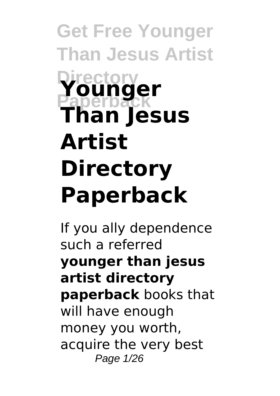**Get Free Younger Than Jesus Artist Directory Paperback Younger Than Jesus Artist Directory Paperback**

If you ally dependence such a referred **younger than jesus artist directory paperback** books that will have enough money you worth, acquire the very best Page 1/26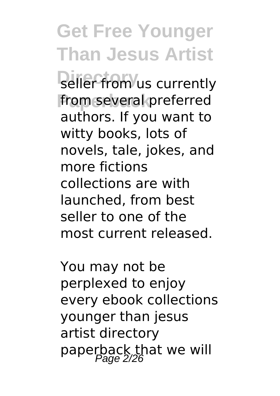**Seller from** us currently from several preferred authors. If you want to witty books, lots of novels, tale, jokes, and more fictions collections are with launched, from best seller to one of the most current released.

You may not be perplexed to enjoy every ebook collections younger than jesus artist directory paperback that we will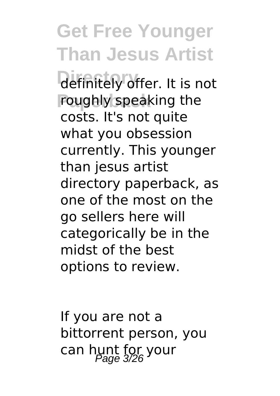definitely offer. It is not roughly speaking the costs. It's not quite what you obsession currently. This younger than jesus artist directory paperback, as one of the most on the go sellers here will categorically be in the midst of the best options to review.

If you are not a bittorrent person, you can hunt for your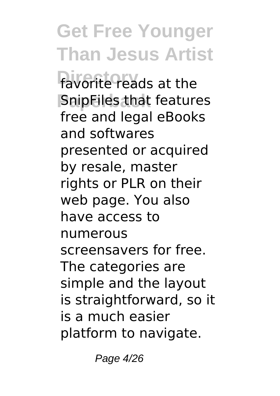favorite reads at the **SnipFiles that features** free and legal eBooks and softwares presented or acquired by resale, master rights or PLR on their web page. You also have access to numerous screensavers for free. The categories are simple and the layout is straightforward, so it is a much easier platform to navigate.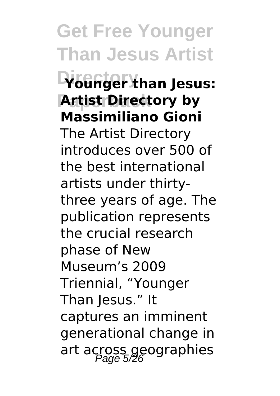### **Directory Younger than Jesus: Artist Directory by Massimiliano Gioni**

The Artist Directory introduces over 500 of the best international artists under thirtythree years of age. The publication represents the crucial research phase of New Museum's 2009 Triennial, "Younger Than Jesus." It captures an imminent generational change in art across geographies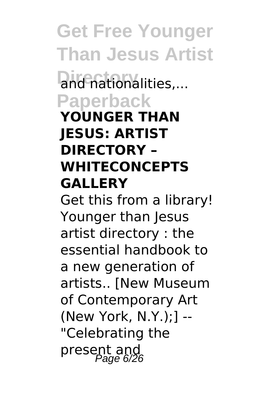and nationalities,... **Paperback**

#### **YOUNGER THAN JESUS: ARTIST DIRECTORY – WHITECONCEPTS GALLERY**

Get this from a library! Younger than Jesus artist directory : the essential handbook to a new generation of artists.. [New Museum of Contemporary Art (New York, N.Y.);] -- "Celebrating the present and<br><sup>Page 6/26</sup>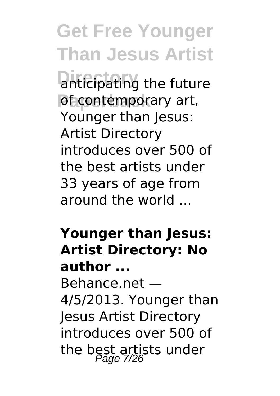anticipating the future of contemporary art, Younger than Jesus: Artist Directory introduces over 500 of the best artists under 33 years of age from around the world ...

#### **Younger than Jesus: Artist Directory: No author ...**

Behance.net — 4/5/2013. Younger than Jesus Artist Directory introduces over 500 of the best artists under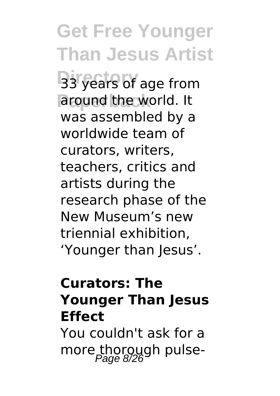**B**3 years of age from around the world. It was assembled by a worldwide team of curators, writers, teachers, critics and artists during the research phase of the New Museum's new triennial exhibition, 'Younger than Jesus'.

#### **Curators: The Younger Than Jesus Effect**

You couldn't ask for a more thorough pulse-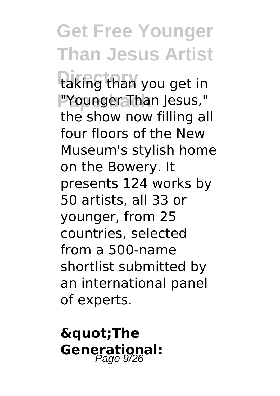taking than you get in PYounger Than Jesus," the show now filling all four floors of the New Museum's stylish home on the Bowery. It presents 124 works by 50 artists, all 33 or younger, from 25 countries, selected from a 500-name shortlist submitted by an international panel of experts.

### **"The** Generational: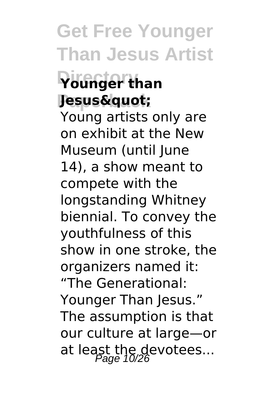### **Directory Younger than**  $J$ esus"

Young artists only are on exhibit at the New Museum (until June 14), a show meant to compete with the longstanding Whitney biennial. To convey the youthfulness of this show in one stroke, the organizers named it: "The Generational: Younger Than Jesus." The assumption is that our culture at large—or at least the devotees...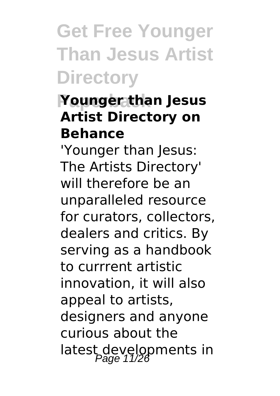# **Get Free Younger Than Jesus Artist Directory**

### **Paperback Younger than Jesus Artist Directory on Behance**

'Younger than Jesus: The Artists Directory' will therefore be an unparalleled resource for curators, collectors, dealers and critics. By serving as a handbook to currrent artistic innovation, it will also appeal to artists, designers and anyone curious about the latest developments in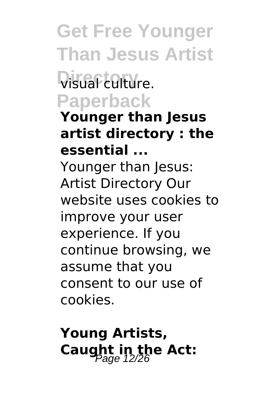### **Visual culture. Paperback**

#### **Younger than Jesus artist directory : the essential ...**

Younger than Jesus: Artist Directory Our website uses cookies to improve your user experience. If you continue browsing, we assume that you consent to our use of cookies.

**Young Artists, Caught in the Act:**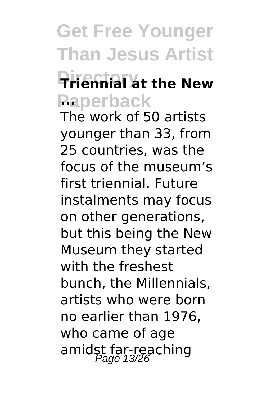### **Directory Triennial at the New Paperback ...**

The work of 50 artists younger than 33, from 25 countries, was the focus of the museum's first triennial. Future instalments may focus on other generations, but this being the New Museum they started with the freshest bunch, the Millennials, artists who were born no earlier than 1976, who came of age amidst far-reaching<br>Page 13/26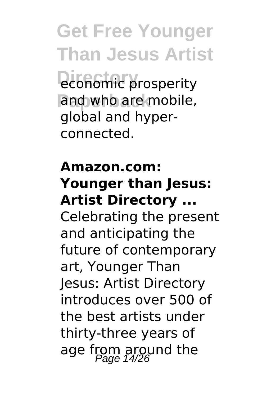**Get Free Younger Than Jesus Artist Profit prosperity** and who are mobile, global and hyperconnected.

#### **Amazon.com: Younger than Jesus: Artist Directory ...**

Celebrating the present and anticipating the future of contemporary art, Younger Than Jesus: Artist Directory introduces over 500 of the best artists under thirty-three years of age from around the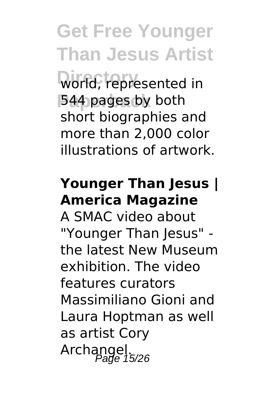world, represented in 544 pages by both short biographies and more than 2,000 color illustrations of artwork.

#### **Younger Than Jesus | America Magazine**

A SMAC video about "Younger Than Jesus" the latest New Museum exhibition. The video features curators Massimiliano Gioni and Laura Hoptman as well as artist Cory Archangel.<br>Page 15/26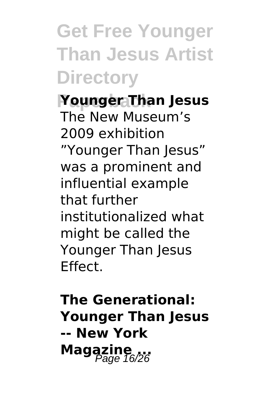**Get Free Younger Than Jesus Artist Directory**

**Paperback Younger Than Jesus** The New Museum's 2009 exhibition "Younger Than Jesus" was a prominent and influential example that further institutionalized what might be called the Younger Than Jesus Effect.

**The Generational: Younger Than Jesus -- New York Magazine**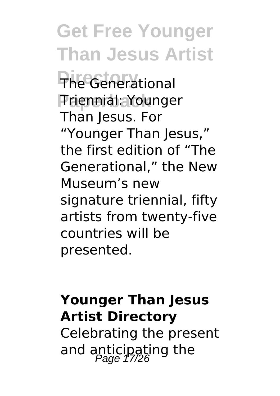**The Generational Paperback** Triennial: Younger Than Jesus. For "Younger Than Jesus," the first edition of "The Generational," the New Museum's new signature triennial, fifty artists from twenty-five countries will be presented.

#### **Younger Than Jesus Artist Directory**

Celebrating the present and anticipating the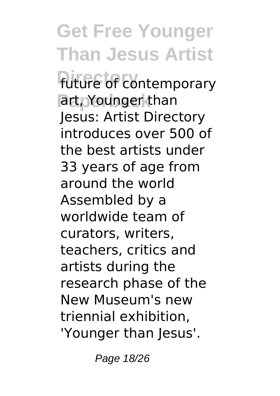**Get Free Younger Than Jesus Artist future** of contemporary art, Younger than Jesus: Artist Directory introduces over 500 of the best artists under 33 years of age from around the world Assembled by a worldwide team of curators, writers, teachers, critics and artists during the research phase of the New Museum's new triennial exhibition, 'Younger than Jesus'.

Page 18/26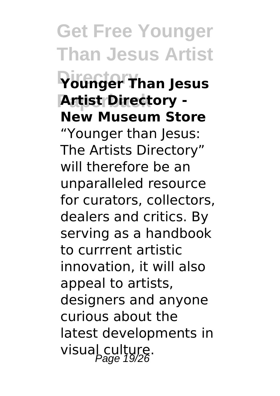### **Directory Younger Than Jesus Artist Directory -New Museum Store**

"Younger than Jesus: The Artists Directory" will therefore be an unparalleled resource for curators, collectors, dealers and critics. By serving as a handbook to currrent artistic innovation, it will also appeal to artists, designers and anyone curious about the latest developments in visual culture.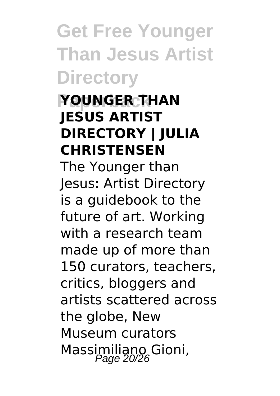**Get Free Younger Than Jesus Artist Directory**

#### **Paperback YOUNGER THAN JESUS ARTIST DIRECTORY | JULIA CHRISTENSEN**

The Younger than Jesus: Artist Directory is a guidebook to the future of art. Working with a research team made up of more than 150 curators, teachers, critics, bloggers and artists scattered across the globe, New Museum curators Massimiliano Gioni,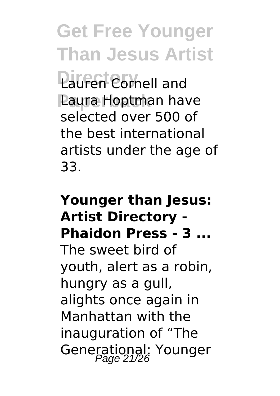**Lauren Cornell and Laura Hoptman have** selected over 500 of the best international artists under the age of 33.

### **Younger than Jesus: Artist Directory - Phaidon Press - 3 ...** The sweet bird of youth, alert as a robin, hungry as a gull, alights once again in Manhattan with the inauguration of "The Generational: Younger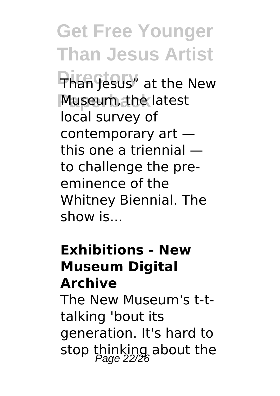**Get Free Younger Than Jesus Artist** Than Jesus" at the New Museum, the latest local survey of contemporary art this one a triennial to challenge the preeminence of the Whitney Biennial. The show is...

#### **Exhibitions - New Museum Digital Archive**

The New Museum's t-ttalking 'bout its generation. It's hard to stop thinking about the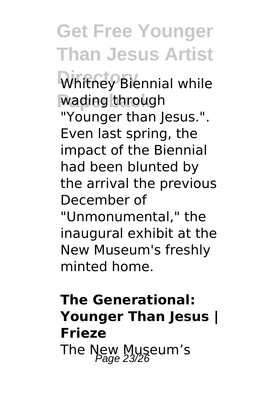Whitney Biennial while wading through "Younger than Jesus.". Even last spring, the impact of the Biennial had been blunted by the arrival the previous December of

"Unmonumental," the inaugural exhibit at the New Museum's freshly minted home.

### **The Generational: Younger Than Jesus | Frieze** The New Museum's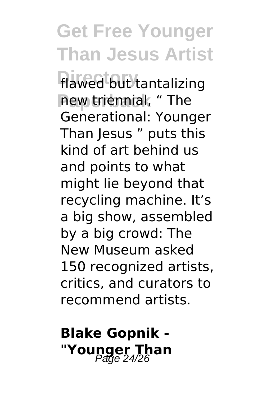flawed but tantalizing new triennial, " The Generational: Younger Than Jesus " puts this kind of art behind us and points to what might lie beyond that recycling machine. It's a big show, assembled by a big crowd: The New Museum asked 150 recognized artists, critics, and curators to recommend artists.

### **Blake Gopnik -** "**Younger Than**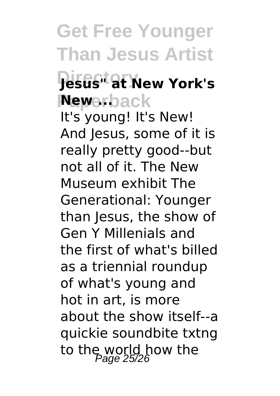### **Directory Jesus" at New York's Newerback**

It's young! It's New! And Jesus, some of it is really pretty good--but not all of it. The New Museum exhibit The Generational: Younger than Jesus, the show of Gen Y Millenials and the first of what's billed as a triennial roundup of what's young and hot in art, is more about the show itself--a quickie soundbite txtng to the world how the